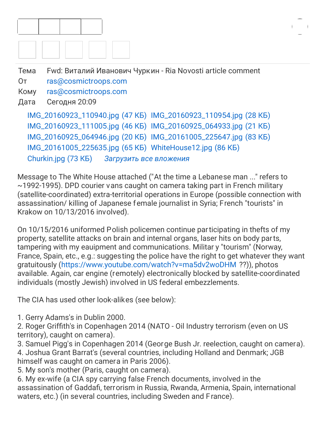

[IMG\\_20160923\\_110940.jpg \(47 КБ\)](https://webmail.hosting.reg.ru/?_task=mail&_action=get&_mbox=Sent&_uid=148777&_token=Cq0qCpKodF6Yr89flFDLodsyQXaaF4rO&_part=2) [IMG\\_20160923\\_110954.jpg \(28 КБ\)](https://webmail.hosting.reg.ru/?_task=mail&_action=get&_mbox=Sent&_uid=148777&_token=Cq0qCpKodF6Yr89flFDLodsyQXaaF4rO&_part=3) [IMG\\_20160923\\_111005.jpg \(46 КБ\)](https://webmail.hosting.reg.ru/?_task=mail&_action=get&_mbox=Sent&_uid=148777&_token=Cq0qCpKodF6Yr89flFDLodsyQXaaF4rO&_part=4) [IMG\\_20160925\\_064933.jpg \(21 КБ\)](https://webmail.hosting.reg.ru/?_task=mail&_action=get&_mbox=Sent&_uid=148777&_token=Cq0qCpKodF6Yr89flFDLodsyQXaaF4rO&_part=5) [IMG\\_20160925\\_064946.jpg \(20 КБ\)](https://webmail.hosting.reg.ru/?_task=mail&_action=get&_mbox=Sent&_uid=148777&_token=Cq0qCpKodF6Yr89flFDLodsyQXaaF4rO&_part=6) [IMG\\_20161005\\_225647.jpg \(83 КБ\)](https://webmail.hosting.reg.ru/?_task=mail&_action=get&_mbox=Sent&_uid=148777&_token=Cq0qCpKodF6Yr89flFDLodsyQXaaF4rO&_part=7) [IMG\\_20161005\\_225635.jpg \(65 КБ\)](https://webmail.hosting.reg.ru/?_task=mail&_action=get&_mbox=Sent&_uid=148777&_token=Cq0qCpKodF6Yr89flFDLodsyQXaaF4rO&_part=8) [WhiteHouse12.jpg \(86 КБ\)](https://webmail.hosting.reg.ru/?_task=mail&_action=get&_mbox=Sent&_uid=148777&_token=Cq0qCpKodF6Yr89flFDLodsyQXaaF4rO&_part=9) [Churkin.jpg \(73 КБ\)](https://webmail.hosting.reg.ru/?_task=mail&_action=get&_mbox=Sent&_uid=148777&_token=Cq0qCpKodF6Yr89flFDLodsyQXaaF4rO&_part=10) *[Загрузить все вложения](https://webmail.hosting.reg.ru/?_task=mail&_action=plugin.zipdownload.attachments&_mbox=Sent&_uid=148777&_token=Cq0qCpKodF6Yr89flFDLodsyQXaaF4rO)*

Message to The White House attached ("At the time a Lebanese man ..." refers to ~1992-1995). DPD courier vans caught on camera taking part in French military (satellite-coordinated) extra-territorial operations in Europe (possible connection with assassination/ killing of Japanese f emale journalist in Syria; French "tourists" in Krakow on 10/13/2016 involved).

On 10/15/2016 uniformed Polish policemen continue participating in thefts of my property, satellite attacks on brain and internal organs, laser hits on body parts, tampering with my eauipment and communications. Militar y "tourism" (Norway, France, Spain, etc., e.g.: suggesting the police have the right to get whatever they want gratuitously [\(https://www.youtube.com/watch?v=ma5dv2woDHM](https://www.youtube.com/watch?v=ma5dv2woDHM) ??)), photos available. Again, car engine (remotely) electronically blocked by satellite-coordinated individuals (mostly Jewish) involved in US federal embezzlements.

The CIA has used other look-alikes (see below):

1. Gerry Adams's in Dublin 2000.

2. Roger Griffith's in Copenhagen 2014 (NATO - Oil Industry terrorism (even on US territory), caught on camera).

3. Samuel Pigg's in Copenhagen 2014 (George Bush Jr. reelection, caught on camera). 4. Joshua Grant Barrat's (several countries, including Holland and Denmark; JGB himself was caught on camera in Paris 2006).

5. My son's mother (Paris, caught on camera).

6. My ex-wife (a CIA spy carrying false French documents, involved in the assassination of Gaddafi, terrorism in Russia, Rwanda, Armenia, Spain, international waters, etc.) (in several countries, including Sweden and France).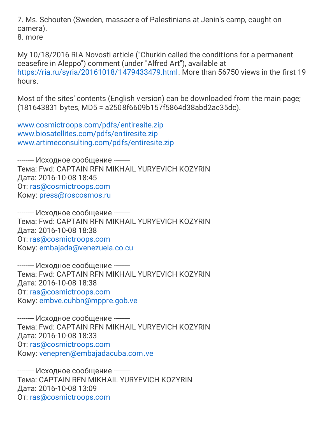7. Ms. Schouten (Sweden, massacr e of Palestinians at Jenin's camp, caught on camera).

8. more

My 10/18/2016 RIA Novosti article ("Churkin called the conditions for a permanent ceasefire in Aleppo") comment (under "Alfred Art"), available at <https://ria.ru/syria/20161018/1479433479.html>. More than 56750 views in the first 19 hours.

Most of the sites' contents (English v ersion) can be downloaded from the main page; (181643831 bytes, MD5 = a2508f6609b157f5864d38abd2ac35dc).

[www.cosmictroops.com/pdfs/entiresite.zip](http://www.cosmictroops.com/pdfs/entiresite.zip) [www.biosatellites.com/pdfs/entiresite.zip](http://www.biosatellites.com/pdfs/entiresite.zip) [www.artimeconsulting.com/pdfs/entiresite.zip](http://www.artimeconsulting.com/pdfs/entiresite.zip)

-------- Исходное сообщение -------- Тема: Fwd: CAPTAIN RFN MIKHAIL YURYEVICH KOZYRIN Дата: 2016-10-08 18:45 От: [ras@cosmictroops.com](mailto:ras@cosmictroops.com) Кому: [press@roscosmos.ru](mailto:press@roscosmos.ru)

-------- Исходное сообщение -------- Тема: Fwd: CAPTAIN RFN MIKHAIL YURYEVICH KOZYRIN Дата: 2016-10-08 18:38 От: [ras@cosmictroops.com](mailto:ras@cosmictroops.com) Кому: [embajada@venezuela.co.cu](mailto:embajada@venezuela.co.cu)

-------- Исходное сообщение -------- Тема: Fwd: CAPTAIN RFN MIKHAIL YURYEVICH KOZYRIN Дата: 2016-10-08 18:38 От: [ras@cosmictroops.com](mailto:ras@cosmictroops.com) Кому: [embve.cuhbn@mppre.gob.ve](mailto:embve.cuhbn@mppre.gob.ve)

-------- Исходное сообщение -------- Тема: Fwd: CAPTAIN RFN MIKHAIL YURYEVICH KOZYRIN Дата: 2016-10-08 18:33 От: [ras@cosmictroops.com](mailto:ras@cosmictroops.com) Кому: [venepren@embajadacuba.com.ve](mailto:venepren@embajadacuba.com.ve)

-------- Исходное сообщение -------- Тема: CAPTAIN RFN MIKHAIL YURYEVICH KOZYRIN Дата: 2016-10-08 13:09 От: [ras@cosmictroops.com](mailto:ras@cosmictroops.com)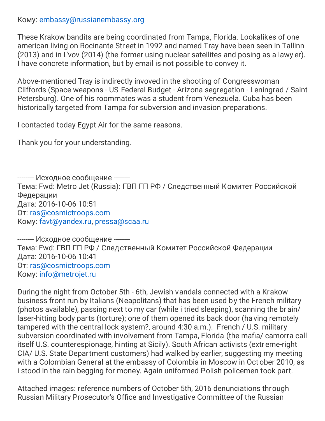Кому: [embassy@russianembassy.org](mailto:embassy@russianembassy.org)

These Krakow bandits are being coordinated from Tampa, Florida. Lookalikes of one american living on Rocinante Street in 1992 and named Tray have been seen in Tallinn (2013) and in L'vov (2014) (the former using nuclear satellites and posing as a lawy er). I have concrete information, but by email is not possible to convey it.

Above-mentioned Tray is indirectly invoved in the shooting of Congresswoman Cliffords (Space weapons - US Federal Budget - Arizona segregation - Leningrad / Saint Petersburg). One of his roommates was a student from Venezuela. Cuba has been historically targeted from Tampa for subversion and invasion preparations.

I contacted today Egypt Air for the same reasons.

Thank you for your understanding.

-------- Исходное сообщение -------- Тема: Fwd: Metro Jet (Russia): ГВП ГП РФ / Следственный Комитет Российской Федерации Дата: 2016-10-06 10:51 От: [ras@cosmictroops.com](mailto:ras@cosmictroops.com) Кому: [favt@yandex.ru](mailto:favt@yandex.ru), [pressa@scaa.ru](mailto:pressa@scaa.ru)

-------- Исходное сообщение -------- Тема: Fwd: ГВП ГП РФ / Следственный Комитет Российской Федерации Дата: 2016-10-06 10:41 От: [ras@cosmictroops.com](mailto:ras@cosmictroops.com) Кому: [info@metrojet.ru](mailto:info@metrojet.ru)

During the night from October 5th - 6th, Jewish vandals connected with a Krakow business front run by Italians (Neapolitans) that has been used by the French military (photos available), passing next to my car (while i tried sleeping), scanning the br ain/ laser-hitting body parts (torture); one of them opened its back door (ha ving remotely tampered with the central lock system?, around 4:30 a.m.). French / U.S. military subversion coordinated with involvement from Tampa, Florida (the mafia/ camorra call itself U.S. counterespionage, hinting at Sicily). South African activists (extr eme-right CIA/ U.S. State Department customers) had walked by earlier, suggesting my meeting with a Colombian General at the embassy of Colombia in Moscow in Oct ober 2010, as i stood in the rain begging for money. Again uniformed Polish policemen took part.

Attached images: reference numbers of October 5th, 2016 denunciations through Russian Military Prosecutor's Office and Investigative Committee of the Russian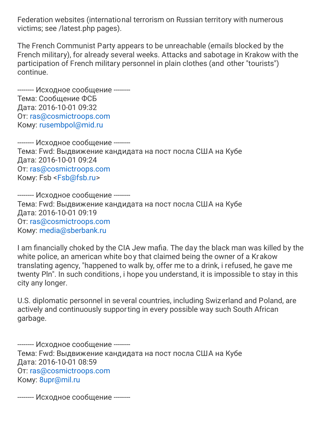Federation websites (international terrorism on Russian territory with numerous victims; see /latest.php pages).

The French Communist Party appears to be unreachable (emails blocked by the French military), for already several weeks. Attacks and sabotage in Krakow with the participation of French military personnel in plain clothes (and other "tourists") continue.

-------- Исходное сообщение -------- Тема: Сообщение ФСБ Дата: 2016-10-01 09:32 От: [ras@cosmictroops.com](mailto:ras@cosmictroops.com) Кому: [rusembpol@mid.ru](mailto:rusembpol@mid.ru)

-------- Исходное сообщение -------- Тема: Fwd: Выдвижение кандидата на пост посла США на Кубе Дата: 2016-10-01 09:24 От: [ras@cosmictroops.com](mailto:ras@cosmictroops.com) Кому: Fsb <[Fsb@fsb.ru](mailto:Fsb@fsb.ru)>

-------- Исходное сообщение -------- Тема: Fwd: Выдвижение кандидата на пост посла США на Кубе Дата: 2016-10-01 09:19 От: [ras@cosmictroops.com](mailto:ras@cosmictroops.com) Кому: [media@sberbank.ru](mailto:media@sberbank.ru)

I am financially choked by the CIA Jew mafia. The day the black man was killed by the white police, an american white boy that claimed being the owner of a Kr akow translating agency, "happened to walk by, offer me to a drink, i refused, he gave me twenty Pln". In such conditions, i hope you understand, it is impossible to stay in this city any longer.

U.S. diplomatic personnel in several countries, including Swizerland and Poland, are actively and continuously supporting in every possible way such South African garbage.

-------- Исходное сообщение -------- Тема: Fwd: Выдвижение кандидата на пост посла США на Кубе Дата: 2016-10-01 08:59 От: [ras@cosmictroops.com](mailto:ras@cosmictroops.com) Кому: [8upr@mil.ru](mailto:8upr@mil.ru)

-------- Исходное сообщение --------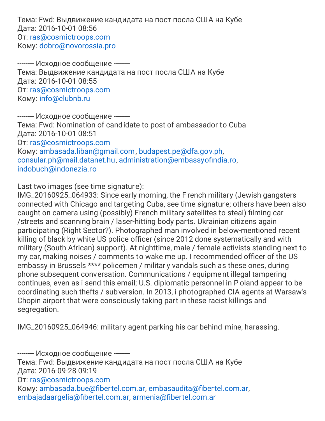Тема: Fwd: Выдвижение кандидата на пост посла США на Кубе Дата: 2016-10-01 08:56 От: [ras@cosmictroops.com](mailto:ras@cosmictroops.com) Кому: [dobro@novorossia.pro](mailto:dobro@novorossia.pro)

-------- Исходное сообщение -------- Тема: Выдвижение кандидата на пост посла США на Кубе Дата: 2016-10-01 08:55 От: [ras@cosmictroops.com](mailto:ras@cosmictroops.com) Кому: [info@clubnb.ru](mailto:info@clubnb.ru)

-------- Исходное сообщение -------- Тема: Fwd: Nomination of candidate to post of ambassador to Cuba Дата: 2016-10-01 08:51 От: [ras@cosmictroops.com](mailto:ras@cosmictroops.com) Кому: [ambasada.liban@gmail.com](mailto:ambasada.liban@gmail.com), [budapest.pe@dfa.gov.ph,](mailto:budapest.pe@dfa.gov.ph) [consular.ph@mail.datanet.hu,](mailto:consular.ph@mail.datanet.hu) [administration@embassyofindia.ro,](mailto:administration@embassyofindia.ro) [indobuch@indonezia.ro](mailto:indobuch@indonezia.ro)

Last two images (see time signatur e):

IMG\_20160925\_064933: Since early morning, the F rench military (Jewish gangsters connected with Chicago and targeting Cuba, see time signature; others have been also caught on camera using (possibly) French military satellites to steal) filming car /streets and scanning brain / laser-hitting body parts. Ukrainian citizens again participating (Right Sector?). Photographed man involved in below-mentioned recent killing of black by white US police officer (since 2012 done systematically and with military (South African) support). At nighttime, male / female activists standing next to my car, making noises / comments to wake me up. I recommended officer of the US embassy in Brussels \*\*\*\* policemen / militar y vandals such as these ones, during phone subsequent conversation. Communications / equipme nt illegal tampering continues, even as i send this email; U.S. diplomatic personnel in P oland appear to be coordinating such thefts / subversion. In 2013, i photographed CIA agents at Warsaw's Chopin airport that were consciously taking part in these racist killings and segregation.

IMG\_20160925\_064946: militar y agent parking his car behind mine, harassing.

-------- Исходное сообщение --------

Тема: Fwd: Выдвижение кандидата на пост посла США на Кубе Дата: 2016-09-28 09:19

От: [ras@cosmictroops.com](mailto:ras@cosmictroops.com)

Кому: [ambasada.bue@fibertel.com.ar,](mailto:ambasada.bue@fibertel.com.ar) [embasaudita@fibertel.com.ar](mailto:embasaudita@fibertel.com.ar), [embajadaargelia@fibertel.com.ar,](mailto:embajadaargelia@fibertel.com.ar) [armenia@fibertel.com.ar](mailto:armenia@fibertel.com.ar)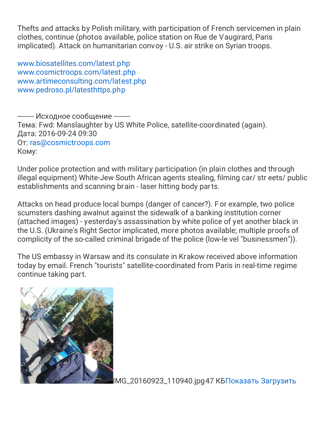Thefts and attacks by Polish military, with participation of French servicemen in plain clothes, continue (photos available, police station on Rue de Vaugirard, Paris implicated). Attack on humanitarian convoy - U.S. air strike on Syrian troops.

[www.biosatellites.com/latest.php](http://www.biosatellites.com/latest.php) [www.cosmictroops.com/latest.php](http://www.cosmictroops.com/latest.php) [www.artimeconsulting.com/latest.php](http://www.artimeconsulting.com/latest.php) [www.pedroso.pl/latesthttps.php](http://www.pedroso.pl/latesthttps.php)

-------- Исходное сообщение -------- Тема: Fwd: Manslaughter by US White Police, satellite-coordinated (again). Дата: 2016-09-24 09:30 От: [ras@cosmictroops.com](mailto:ras@cosmictroops.com) Кому:

Under police protection and with military participation (in plain clothes and through illegal equipment) White-Jew South African agents stealing, filming car/ str eets/ public establishments and scanning brain - laser hitting body parts.

Attacks on head produce local bumps (danger of cancer?). F or example, two police scumsters dashing awalnut against the sidewalk of a banking institution corner (attached images) - yesterday's assassination by white police of yet another black in the U.S. (Ukraine's Right Sector implicated, more photos available; multiple proofs of complicity of the so-called criminal brigade of the police (low-le vel "businessmen")).

The US embassy in Warsaw and its consulate in Krakow received above information today by email. French "tourists" satellite-coordinated from Paris in real-time regime continue taking part.



[I](https://webmail.hosting.reg.ru/?_task=mail&_action=get&_mbox=Sent&_uid=148777&_token=Cq0qCpKodF6Yr89flFDLodsyQXaaF4rO&_part=2)MG\_20160923\_110940.jpg47 КБ[Показать](https://webmail.hosting.reg.ru/?_task=mail&_action=get&_mbox=Sent&_uid=148777&_token=Cq0qCpKodF6Yr89flFDLodsyQXaaF4rO&_part=2) [Загрузить](https://webmail.hosting.reg.ru/?_task=mail&_action=get&_mbox=Sent&_uid=148777&_token=Cq0qCpKodF6Yr89flFDLodsyQXaaF4rO&_part=2&_download=1)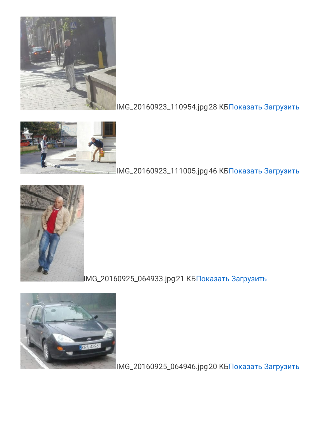

## IMG\_20160923\_110954.jpg28 КБ[Показать](https://webmail.hosting.reg.ru/?_task=mail&_action=get&_mbox=Sent&_uid=148777&_token=Cq0qCpKodF6Yr89flFDLodsyQXaaF4rO&_part=3) [Загрузить](https://webmail.hosting.reg.ru/?_task=mail&_action=get&_mbox=Sent&_uid=148777&_token=Cq0qCpKodF6Yr89flFDLodsyQXaaF4rO&_part=3&_download=1)



## IMG\_20160923\_111005.jpg46 КБ[Показать](https://webmail.hosting.reg.ru/?_task=mail&_action=get&_mbox=Sent&_uid=148777&_token=Cq0qCpKodF6Yr89flFDLodsyQXaaF4rO&_part=4) [Загрузить](https://webmail.hosting.reg.ru/?_task=mail&_action=get&_mbox=Sent&_uid=148777&_token=Cq0qCpKodF6Yr89flFDLodsyQXaaF4rO&_part=4&_download=1)



IMG\_20160925\_064933.jpg21 К[БПоказать](https://webmail.hosting.reg.ru/?_task=mail&_action=get&_mbox=Sent&_uid=148777&_token=Cq0qCpKodF6Yr89flFDLodsyQXaaF4rO&_part=5) [Загрузить](https://webmail.hosting.reg.ru/?_task=mail&_action=get&_mbox=Sent&_uid=148777&_token=Cq0qCpKodF6Yr89flFDLodsyQXaaF4rO&_part=5&_download=1)



IMG\_20160925\_064946.jpg20 КБ[Показать](https://webmail.hosting.reg.ru/?_task=mail&_action=get&_mbox=Sent&_uid=148777&_token=Cq0qCpKodF6Yr89flFDLodsyQXaaF4rO&_part=6) [Загрузить](https://webmail.hosting.reg.ru/?_task=mail&_action=get&_mbox=Sent&_uid=148777&_token=Cq0qCpKodF6Yr89flFDLodsyQXaaF4rO&_part=6&_download=1)